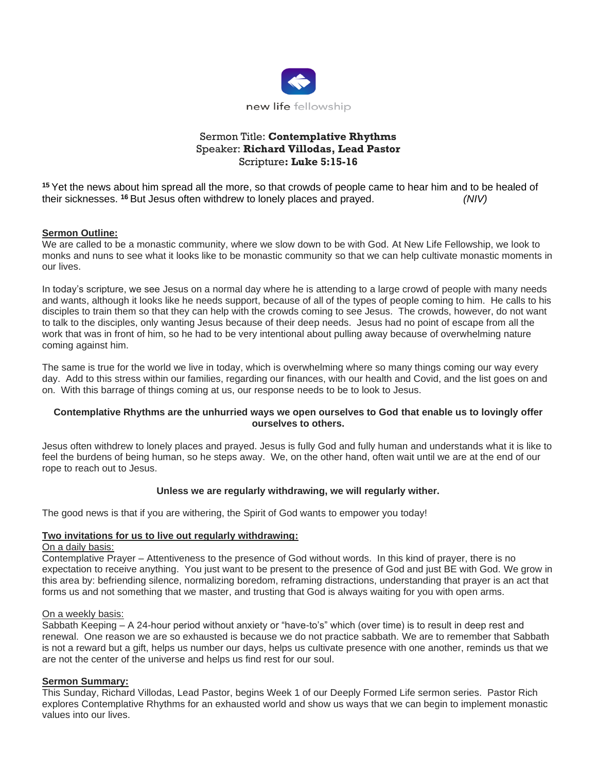

# Sermon Title: **Contemplative Rhythms** Speaker: **Richard Villodas, Lead Pastor** Scripture**: Luke 5:15-16**

**<sup>15</sup>** Yet the news about him spread all the more, so that crowds of people came to hear him and to be healed of their sicknesses. **<sup>16</sup>** But Jesus often withdrew to lonely places and prayed. *(NIV)*

#### **Sermon Outline:**

We are called to be a monastic community, where we slow down to be with God. At New Life Fellowship, we look to monks and nuns to see what it looks like to be monastic community so that we can help cultivate monastic moments in our lives.

In today's scripture, we see Jesus on a normal day where he is attending to a large crowd of people with many needs and wants, although it looks like he needs support, because of all of the types of people coming to him. He calls to his disciples to train them so that they can help with the crowds coming to see Jesus. The crowds, however, do not want to talk to the disciples, only wanting Jesus because of their deep needs. Jesus had no point of escape from all the work that was in front of him, so he had to be very intentional about pulling away because of overwhelming nature coming against him.

The same is true for the world we live in today, which is overwhelming where so many things coming our way every day. Add to this stress within our families, regarding our finances, with our health and Covid, and the list goes on and on. With this barrage of things coming at us, our response needs to be to look to Jesus.

#### **Contemplative Rhythms are the unhurried ways we open ourselves to God that enable us to lovingly offer ourselves to others.**

Jesus often withdrew to lonely places and prayed. Jesus is fully God and fully human and understands what it is like to feel the burdens of being human, so he steps away. We, on the other hand, often wait until we are at the end of our rope to reach out to Jesus.

## **Unless we are regularly withdrawing, we will regularly wither.**

The good news is that if you are withering, the Spirit of God wants to empower you today!

#### **Two invitations for us to live out regularly withdrawing:**

### On a daily basis:

Contemplative Prayer – Attentiveness to the presence of God without words. In this kind of prayer, there is no expectation to receive anything. You just want to be present to the presence of God and just BE with God. We grow in this area by: befriending silence, normalizing boredom, reframing distractions, understanding that prayer is an act that forms us and not something that we master, and trusting that God is always waiting for you with open arms.

#### On a weekly basis:

Sabbath Keeping – A 24-hour period without anxiety or "have-to's" which (over time) is to result in deep rest and renewal. One reason we are so exhausted is because we do not practice sabbath. We are to remember that Sabbath is not a reward but a gift, helps us number our days, helps us cultivate presence with one another, reminds us that we are not the center of the universe and helps us find rest for our soul.

#### **Sermon Summary:**

This Sunday, Richard Villodas, Lead Pastor, begins Week 1 of our Deeply Formed Life sermon series. Pastor Rich explores Contemplative Rhythms for an exhausted world and show us ways that we can begin to implement monastic values into our lives.